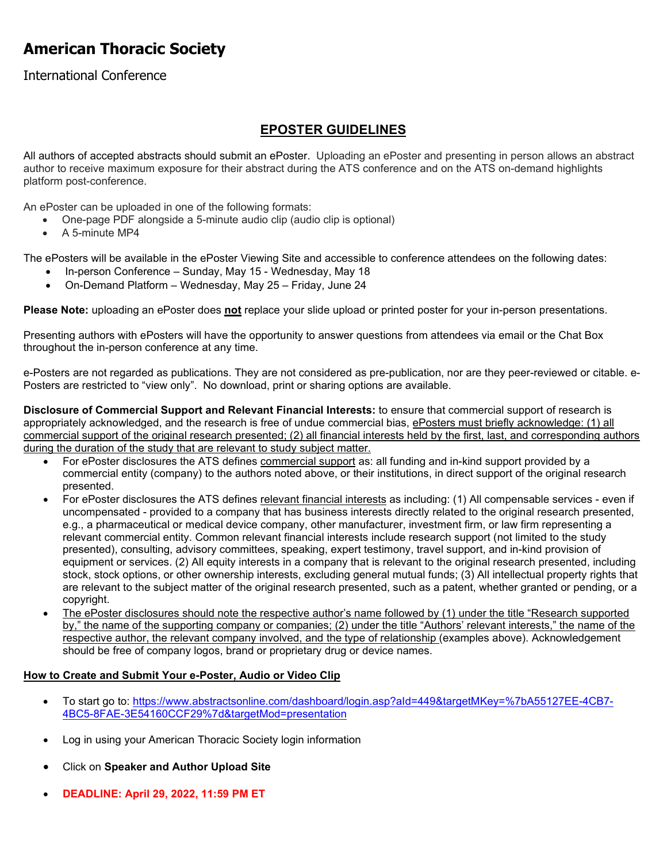# **American Thoracic Society**

## International Conference

# **EPOSTER GUIDELINES**

All authors of accepted abstracts should submit an ePoster. Uploading an ePoster and presenting in person allows an abstract author to receive maximum exposure for their abstract during the ATS conference and on the ATS on-demand highlights platform post-conference.

An ePoster can be uploaded in one of the following formats:

- One-page PDF alongside a 5-minute audio clip (audio clip is optional)
- A 5-minute MP4

The ePosters will be available in the ePoster Viewing Site and accessible to conference attendees on the following dates:

- In-person Conference Sunday, May 15 Wednesday, May 18
- On-Demand Platform Wednesday, May 25 Friday, June 24

**Please Note:** uploading an ePoster does **not** replace your slide upload or printed poster for your in-person presentations.

Presenting authors with ePosters will have the opportunity to answer questions from attendees via email or the Chat Box throughout the in-person conference at any time.

e-Posters are not regarded as publications. They are not considered as pre-publication, nor are they peer-reviewed or citable. e-Posters are restricted to "view only". No download, print or sharing options are available.

**Disclosure of Commercial Support and Relevant Financial Interests:** to ensure that commercial support of research is appropriately acknowledged, and the research is free of undue commercial bias, ePosters must briefly acknowledge: (1) all commercial support of the original research presented; (2) all financial interests held by the first, last, and corresponding authors during the duration of the study that are relevant to study subject matter.

- For ePoster disclosures the ATS defines commercial support as: all funding and in-kind support provided by a commercial entity (company) to the authors noted above, or their institutions, in direct support of the original research presented.
- For ePoster disclosures the ATS defines relevant financial interests as including: (1) All compensable services even if uncompensated - provided to a company that has business interests directly related to the original research presented, e.g., a pharmaceutical or medical device company, other manufacturer, investment firm, or law firm representing a relevant commercial entity. Common relevant financial interests include research support (not limited to the study presented), consulting, advisory committees, speaking, expert testimony, travel support, and in-kind provision of equipment or services. (2) All equity interests in a company that is relevant to the original research presented, including stock, stock options, or other ownership interests, excluding general mutual funds; (3) All intellectual property rights that are relevant to the subject matter of the original research presented, such as a patent, whether granted or pending, or a copyright.
- The ePoster disclosures should note the respective author's name followed by (1) under the title "Research supported by," the name of the supporting company or companies; (2) under the title "Authors' relevant interests," the name of the respective author, the relevant company involved, and the type of relationship (examples above). Acknowledgement should be free of company logos, brand or proprietary drug or device names.

#### **How to Create and Submit Your e-Poster, Audio or Video Clip**

- To start go to: [https://www.abstractsonline.com/dashboard/login.asp?aId=449&targetMKey=%7bA55127EE-4CB7-](https://www.abstractsonline.com/dashboard/login.asp?aId=449&targetMKey=%7bA55127EE-4CB7-4BC5-8FAE-3E54160CCF29%7d&targetMod=presentation) [4BC5-8FAE-3E54160CCF29%7d&targetMod=presentation](https://www.abstractsonline.com/dashboard/login.asp?aId=449&targetMKey=%7bA55127EE-4CB7-4BC5-8FAE-3E54160CCF29%7d&targetMod=presentation)
- Log in using your American Thoracic Society login information
- Click on **Speaker and Author Upload Site**
- **DEADLINE: April 29, 2022, 11:59 PM ET**